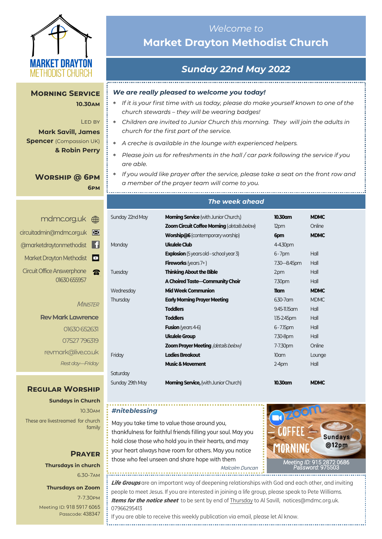

**Morning Service**

**Mark Savill, James Spencer** (Compassion UK)

**Worship @ 6pm**

**& Robin Perry**

**10.30am**

Led by

**6pm**

# *Welcome to*  **Market Drayton Methodist Church**

# *Sunday 22nd May 2022*

#### *We are really pleased to welcome you today!*

- *If it is your first time with us today, please do make yourself known to one of the church stewards – they will be wearing badges!*
	- *Children are invited to Junior Church this morning. They will join the adults in church for the first part of the service.*
	- *A creche is available in the lounge with experienced helpers.*
	- *Please join us for refreshments in the hall / car park following the service if you are able.*
	- *If you would like prayer after the service, please take a seat on the front row and a member of the prayer team will come to you.*

*The week ahead*

| mdmc.org.uk (mmd                      |
|---------------------------------------|
| circuitadmin@mdmc.org.uk              |
| @marketdraytonmethodist               |
| Market Drayton Methodist <sup>1</sup> |
| <b>Circuit Office Answerphone</b>     |
| 01630 655957                          |

**MINISTER** 

**Rev Mark Lawrence** 01630 652631 07527 796319 revmark@live.co.uk *Rest day—Friday*

#### **Regular Worship**

**Sundays in Church** 10.30am These are livestreamed for church family

> **Prayer Thursdays in church** 6.30-7am **Thursdays on Zoom** 7-7.30pm

[Meeting ID:](https://us04web.zoom.us/j/77138650306?fbclid=IwAR1B778-w3GWZgDnAqUFq-X6hXjzASNTsZuRIt4kZ4Cpyur_3CO2EGlBBwY#success) 918 5917 6065 Passcode: 438347

#### Sunday 22nd May **Morning Service** (with Junior Church,) **10.30am MDMC Zoom Circuit Coffee Morning** (*details below*) 12pm Online **Worship@6** (contemporary worship) **6pm MDMC** Monday **Ukulele Club** 4-4.30pm **Explosion** (5 years old – school year 3) 6 - 7pm Hall **Fireworks** (years 7+) 7.30—8.45pm Hall **Tuesday <b>Thinking About the Bible 2.pm** Hall **A Choired Taste—Community Choir** 7.30pm Hall Wednesday **Mid Week Communion 11am MDMC** Thursday **Early Morning Prayer Meeting** 6.30-7am MDMC **Toddlers 11.15am** Hall **Toddlers 1.15-2.45pm** Hall **Fusion** (years 4-6) **6 - 7.15pm** Hall **Ukulele Group 1.4 Figure 1.4 Figure 1.4 Figure 1.4 Figure 1.4 Figure 1.4 Figure 1.4 Figure 1.4 Figure 1.4 Figure 1.4 Figure 1.4 Figure 1.4 Figure 1.4 Figure 1.4 Figure 1.4 Figure 1.4 Figure 1.4 Figure 1.4 Figure 1.4 Fig Zoom Prayer Meeting** (details below) 7-7.30pm Online Friday **Ladies Breakout** 10am Lounge **Music & Movement Music & Movement 2-4pm Hall Saturday**

Sunday 29th May **Morning Service,** (with Junior Church) **10.30am MDMC**

*#niteblessing*

May you take time to value those around you, thankfulness for faithful friends filling your soul. May you hold close those who hold you in their hearts, and may your heart always have room for others. May you notice those who feel unseen and share hope with them Malcolm Duncan



**Life Groups** are an important way of deepening relationships with God and each other, and inviting people to meet Jesus. If you are interested in joining a life group, please speak to Pete Williams. **Items for the notice sheet** to be sent by end of Thursday to Al Savill, notices@mdmc.org.uk. 07966295413

If you are able to receive this weekly publication via email, please let Al know.